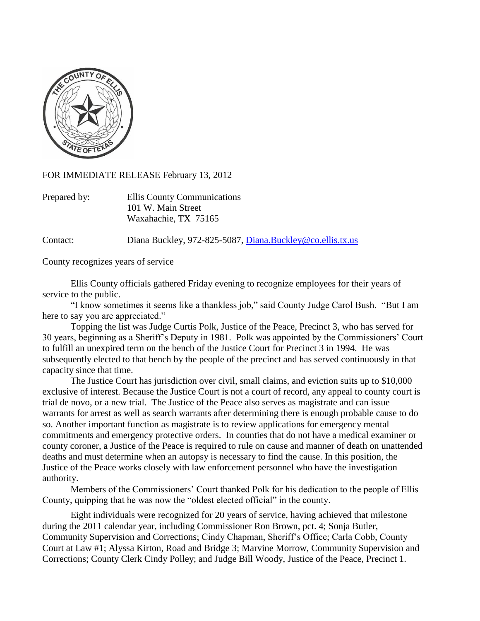

FOR IMMEDIATE RELEASE February 13, 2012

| Prepared by: | Ellis County Communications |
|--------------|-----------------------------|
|              | 101 W. Main Street          |
|              | Waxahachie, TX 75165        |

Contact: Diana Buckley, 972-825-5087, [Diana.Buckley@co.ellis.tx.us](mailto:Diana.Buckley@co.ellis.tx.us)

County recognizes years of service

Ellis County officials gathered Friday evening to recognize employees for their years of service to the public.

"I know sometimes it seems like a thankless job," said County Judge Carol Bush. "But I am here to say you are appreciated."

Topping the list was Judge Curtis Polk, Justice of the Peace, Precinct 3, who has served for 30 years, beginning as a Sheriff's Deputy in 1981. Polk was appointed by the Commissioners' Court to fulfill an unexpired term on the bench of the Justice Court for Precinct 3 in 1994. He was subsequently elected to that bench by the people of the precinct and has served continuously in that capacity since that time.

The Justice Court has jurisdiction over civil, small claims, and eviction suits up to \$10,000 exclusive of interest. Because the Justice Court is not a court of record, any appeal to county court is trial de novo, or a new trial. The Justice of the Peace also serves as magistrate and can issue warrants for arrest as well as search warrants after determining there is enough probable cause to do so. Another important function as magistrate is to review applications for emergency mental commitments and emergency protective orders. In counties that do not have a medical examiner or county coroner, a Justice of the Peace is required to rule on cause and manner of death on unattended deaths and must determine when an autopsy is necessary to find the cause. In this position, the Justice of the Peace works closely with law enforcement personnel who have the investigation authority.

Members of the Commissioners' Court thanked Polk for his dedication to the people of Ellis County, quipping that he was now the "oldest elected official" in the county.

Eight individuals were recognized for 20 years of service, having achieved that milestone during the 2011 calendar year, including Commissioner Ron Brown, pct. 4; Sonja Butler, Community Supervision and Corrections; Cindy Chapman, Sheriff's Office; Carla Cobb, County Court at Law #1; Alyssa Kirton, Road and Bridge 3; Marvine Morrow, Community Supervision and Corrections; County Clerk Cindy Polley; and Judge Bill Woody, Justice of the Peace, Precinct 1.